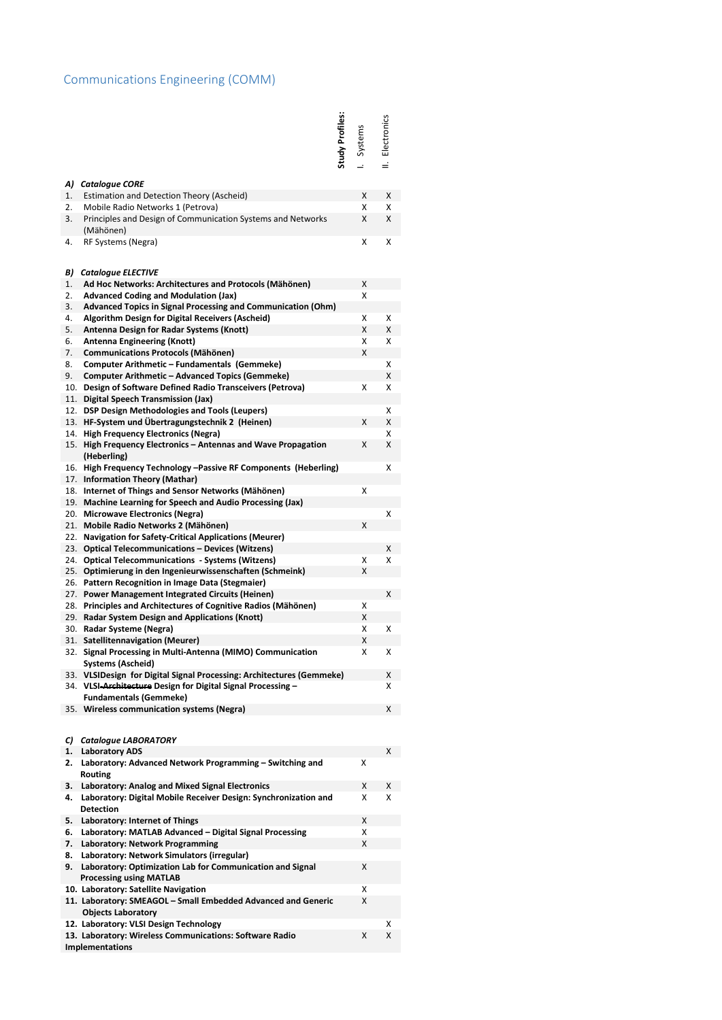## Communications Engineering (COMM)

|          |                                                                                                        | Study Profiles: | Systems | Electronics<br>Ξ |  |
|----------|--------------------------------------------------------------------------------------------------------|-----------------|---------|------------------|--|
| A)       | <b>Catalogue CORE</b>                                                                                  |                 |         |                  |  |
| 1.       | <b>Estimation and Detection Theory (Ascheid)</b>                                                       |                 | X       | X                |  |
| 2.       | Mobile Radio Networks 1 (Petrova)                                                                      |                 | x       | x                |  |
| 3.       | Principles and Design of Communication Systems and Networks<br>(Mähönen)                               |                 | X       | X                |  |
| 4.       | RF Systems (Negra)                                                                                     |                 | x       | X                |  |
| B)       | <b>Catalogue ELECTIVE</b>                                                                              |                 |         |                  |  |
| 1.       | Ad Hoc Networks: Architectures and Protocols (Mähönen)                                                 |                 | X       |                  |  |
| 2.       | <b>Advanced Coding and Modulation (Jax)</b>                                                            |                 | Χ       |                  |  |
| 3.       | <b>Advanced Topics in Signal Processing and Communication (Ohm)</b>                                    |                 |         |                  |  |
| 4.       | <b>Algorithm Design for Digital Receivers (Ascheid)</b>                                                |                 | x       | X                |  |
| 5.       | Antenna Design for Radar Systems (Knott)                                                               |                 | X       | Χ                |  |
| 6.       | <b>Antenna Engineering (Knott)</b>                                                                     |                 | Χ<br>Χ  | X                |  |
| 7.       | <b>Communications Protocols (Mähönen)</b>                                                              |                 |         |                  |  |
| 8.<br>9. | Computer Arithmetic - Fundamentals (Gemmeke)<br><b>Computer Arithmetic - Advanced Topics (Gemmeke)</b> |                 |         | X<br>Χ           |  |
| 10.      | <b>Design of Software Defined Radio Transceivers (Petrova)</b>                                         |                 | Χ       | Χ                |  |
| 11.      | <b>Digital Speech Transmission (Jax)</b>                                                               |                 |         |                  |  |
| 12.      | <b>DSP Design Methodologies and Tools (Leupers)</b>                                                    |                 |         | X                |  |
| 13.      | HF-System und Übertragungstechnik 2 (Heinen)                                                           |                 | Χ       | X                |  |
| 14.      | <b>High Frequency Electronics (Negra)</b>                                                              |                 |         | Χ                |  |
| 15.      | High Frequency Electronics - Antennas and Wave Propagation<br>(Heberling)                              |                 | X       | X                |  |
| 16.      | High Frequency Technology -Passive RF Components (Heberling)                                           |                 |         | X                |  |
| 17.      | <b>Information Theory (Mathar)</b>                                                                     |                 |         |                  |  |
| 18.      | Internet of Things and Sensor Networks (Mähönen)                                                       |                 | Χ       |                  |  |
| 19.      | <b>Machine Learning for Speech and Audio Processing (Jax)</b>                                          |                 |         |                  |  |
| 20.      | <b>Microwave Electronics (Negra)</b>                                                                   |                 |         | x                |  |
| 21.      | Mobile Radio Networks 2 (Mähönen)                                                                      |                 | X       |                  |  |
| 22.      | <b>Navigation for Safety-Critical Applications (Meurer)</b>                                            |                 |         |                  |  |
| 23.      | <b>Optical Telecommunications - Devices (Witzens)</b>                                                  |                 |         | X                |  |
| 24.      | <b>Optical Telecommunications - Systems (Witzens)</b>                                                  |                 | x       | Χ                |  |
| 25.      | Optimierung in den Ingenieurwissenschaften (Schmeink)                                                  |                 | Χ       |                  |  |
| 26.      | <b>Pattern Recognition in Image Data (Stegmaier)</b>                                                   |                 |         |                  |  |
| 27.      | <b>Power Management Integrated Circuits (Heinen)</b>                                                   |                 |         | X                |  |
| 28.      | Principles and Architectures of Cognitive Radios (Mähönen)                                             |                 | x       |                  |  |
| 29.      | <b>Radar System Design and Applications (Knott)</b>                                                    |                 | X       |                  |  |
|          | 30. Radar Systeme (Negra)                                                                              |                 | Χ       | Χ                |  |
|          | 31. Satellitennavigation (Meurer)                                                                      |                 | Χ       |                  |  |
|          | 32. Signal Processing in Multi-Antenna (MIMO) Communication<br><b>Systems (Ascheid)</b>                |                 | x       | X                |  |
|          | 33. VLSIDesign for Digital Signal Processing: Architectures (Gemmeke)                                  |                 |         | X                |  |
|          | 34. VLSI-Architecture Design for Digital Signal Processing -                                           |                 |         | Χ                |  |
|          | <b>Fundamentals (Gemmeke)</b>                                                                          |                 |         |                  |  |
|          | 35. Wireless communication systems (Negra)                                                             |                 |         | X                |  |
|          |                                                                                                        |                 |         |                  |  |
| C)       | <b>Catalogue LABORATORY</b>                                                                            |                 |         |                  |  |
| 1.       | <b>Laboratory ADS</b>                                                                                  |                 |         | X                |  |

| 2. |  | Laboratory: Advanced Network Programming – Switching and |  |
|----|--|----------------------------------------------------------|--|
|----|--|----------------------------------------------------------|--|

## **Routing**

X

| <b>Laboratory: Analog and Mixed Signal Electronics</b><br>3.                               | X | X |
|--------------------------------------------------------------------------------------------|---|---|
| Laboratory: Digital Mobile Receiver Design: Synchronization and<br>4.<br><b>Detection</b>  | X | X |
| <b>Laboratory: Internet of Things</b><br>5.                                                | X |   |
| Laboratory: MATLAB Advanced - Digital Signal Processing<br>6.                              | X |   |
| <b>Laboratory: Network Programming</b><br>7.                                               | X |   |
| Laboratory: Network Simulators (irregular)<br>8.                                           |   |   |
| Laboratory: Optimization Lab for Communication and Signal<br>9.                            | X |   |
| <b>Processing using MATLAB</b>                                                             |   |   |
| 10. Laboratory: Satellite Navigation                                                       | x |   |
| 11. Laboratory: SMEAGOL - Small Embedded Advanced and Generic<br><b>Objects Laboratory</b> | X |   |
| 12. Laboratory: VLSI Design Technology                                                     |   | x |
| 13. Laboratory: Wireless Communications: Software Radio                                    | x | x |
| <b>Implementations</b>                                                                     |   |   |